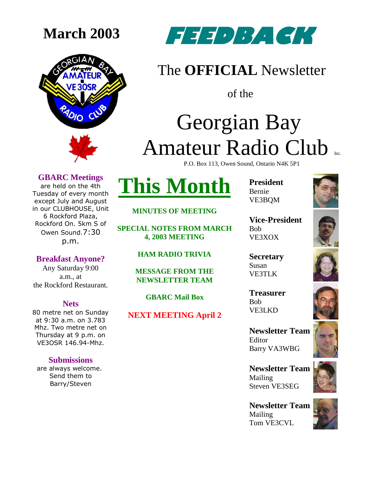



### The **OFFICIAL** Newsletter

of the

# Georgian Bay Amateur Radio Club

P.O. Box 113, Owen Sound, Ontario N4K 5P1

### **GBARC Meetings**

are held on the 4th Tuesday of every month except July and August in our CLUBHOUSE, Unit 6 Rockford Plaza, Rockford On. 5km S of Owen Sound.7:30 p.m.

**Breakfast Anyone?**

Any Saturday 9:00 a.m., at the Rockford Restaurant.

#### **Nets**

80 metre net on Sunday at 9:30 a.m. on 3.783 Mhz. Two metre net on Thursday at 9 p.m. on VE3OSR 146.94-Mhz.

#### **Submissions**

are always welcome. Send them to Barry/Steven

**This Month**

#### **MINUTES OF MEETING**

**SPECIAL NOTES FROM MARCH 4, 2003 MEETING**

**HAM RADIO TRIVIA**

**MESSAGE FROM THE NEWSLETTER TEAM**

**GBARC Mail Box**

**NEXT MEETING April 2**

**President** Bernie VE3BQM



**Vice-President** Bob VE3XOX

**Secretary** Susan VE3TLK

**Treasurer** Bob VE3LKD

**Newsletter Team**  Editor Barry VA3WBG

**Newsletter Team**  Mailing Steven VE3SEG

**Newsletter Team**  Mailing Tom VE3CVL







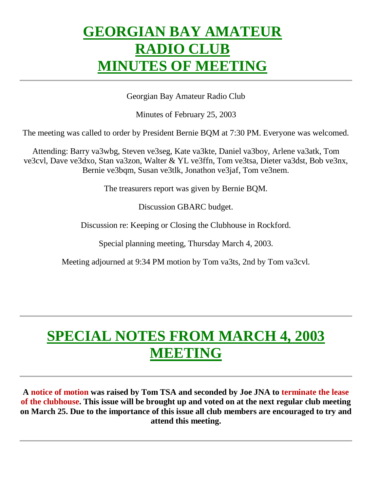### **GEORGIAN BAY AMATEUR RADIO CLUB MINUTES OF MEETING**

Georgian Bay Amateur Radio Club

Minutes of February 25, 2003

The meeting was called to order by President Bernie BQM at 7:30 PM. Everyone was welcomed.

Attending: Barry va3wbg, Steven ve3seg, Kate va3kte, Daniel va3boy, Arlene va3atk, Tom ve3cvl, Dave ve3dxo, Stan va3zon, Walter & YL ve3ffn, Tom ve3tsa, Dieter va3dst, Bob ve3nx, Bernie ve3bqm, Susan ve3tlk, Jonathon ve3jaf, Tom ve3nem.

The treasurers report was given by Bernie BQM.

Discussion GBARC budget.

Discussion re: Keeping or Closing the Clubhouse in Rockford.

Special planning meeting, Thursday March 4, 2003.

Meeting adjourned at 9:34 PM motion by Tom va3ts, 2nd by Tom va3cvl.

## **SPECIAL NOTES FROM MARCH 4, 2003 MEETING**

**A notice of motion was raised by Tom TSA and seconded by Joe JNA to terminate the lease of the clubhouse. This issue will be brought up and voted on at the next regular club meeting on March 25. Due to the importance of this issue all club members are encouraged to try and attend this meeting.**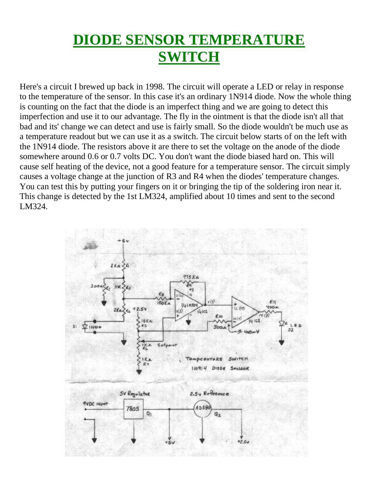### **DIODE SENSOR TEMPERATURE SWITCH**

Here's a circuit I brewed up back in 1998. The circuit will operate a LED or relay in response to the temperature of the sensor. In this case it's an ordinary 1N914 diode. Now the whole thing is counting on the fact that the diode is an imperfect thing and we are going to detect this imperfection and use it to our advantage. The fly in the ointment is that the diode isn't all that bad and its' change we can detect and use is fairly small. So the diode wouldn't be much use as a temperature readout but we can use it as a switch. The circuit below starts of on the left with the 1N914 diode. The resistors above it are there to set the voltage on the anode of the diode somewhere around 0.6 or 0.7 volts DC. You don't want the diode biased hard on. This will cause self heating of the device, not a good feature for a temperature sensor. The circuit simply causes a voltage change at the junction of R3 and R4 when the diodes' temperature changes. You can test this by putting your fingers on it or bringing the tip of the soldering iron near it. This change is detected by the 1st LM324, amplified about 10 times and sent to the second LM324.

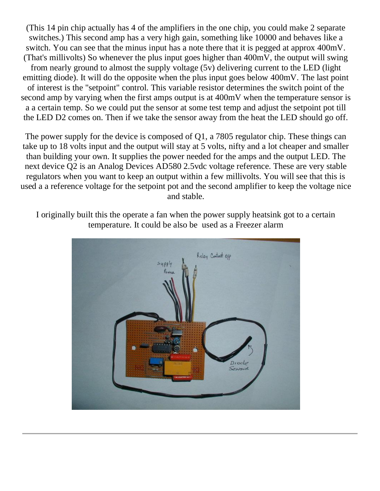(This 14 pin chip actually has 4 of the amplifiers in the one chip, you could make 2 separate switches.) This second amp has a very high gain, something like 10000 and behaves like a switch. You can see that the minus input has a note there that it is pegged at approx 400mV. (That's millivolts) So whenever the plus input goes higher than 400mV, the output will swing from nearly ground to almost the supply voltage (5v) delivering current to the LED (light emitting diode). It will do the opposite when the plus input goes below 400mV. The last point of interest is the "setpoint" control. This variable resistor determines the switch point of the second amp by varying when the first amps output is at 400mV when the temperature sensor is a a certain temp. So we could put the sensor at some test temp and adjust the setpoint pot till the LED D2 comes on. Then if we take the sensor away from the heat the LED should go off.

The power supply for the device is composed of Q1, a 7805 regulator chip. These things can take up to 18 volts input and the output will stay at 5 volts, nifty and a lot cheaper and smaller than building your own. It supplies the power needed for the amps and the output LED. The next device Q2 is an Analog Devices AD580 2.5vdc voltage reference. These are very stable regulators when you want to keep an output within a few millivolts. You will see that this is used a a reference voltage for the setpoint pot and the second amplifier to keep the voltage nice and stable.

I originally built this the operate a fan when the power supply heatsink got to a certain temperature. It could be also be used as a Freezer alarm

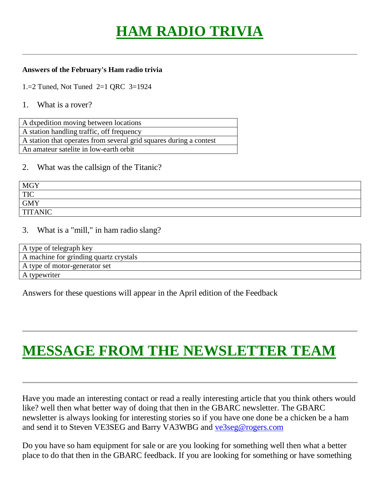## **HAM RADIO TRIVIA**

#### **Answers of the February's Ham radio trivia**

1.=2 Tuned, Not Tuned 2=1 QRC 3=1924

#### 1. What is a rover?

| A dxpedition moving between locations                              |
|--------------------------------------------------------------------|
| A station handling traffic, off frequency                          |
| A station that operates from several grid squares during a contest |
| An amateur satelite in low-earth orbit                             |

### 2. What was the callsign of the Titanic?

| <b>MGY</b>     |  |
|----------------|--|
| <b>TIC</b>     |  |
| <b>GMY</b>     |  |
| <b>TITANIC</b> |  |

### 3. What is a "mill," in ham radio slang?

| A type of telegraph key                |
|----------------------------------------|
| A machine for grinding quartz crystals |
| A type of motor-generator set          |
| A typewriter                           |

Answers for these questions will appear in the April edition of the Feedback

### **MESSAGE FROM THE NEWSLETTER TEAM**

Have you made an interesting contact or read a really interesting article that you think others would like? well then what better way of doing that then in the GBARC newsletter. The GBARC newsletter is always looking for interesting stories so if you have one done be a chicken be a ham and send it to Steven VE3SEG and Barry VA3WBG and ve3seg@rogers.com

Do you have so ham equipment for sale or are you looking for something well then what a better place to do that then in the GBARC feedback. If you are looking for something or have something